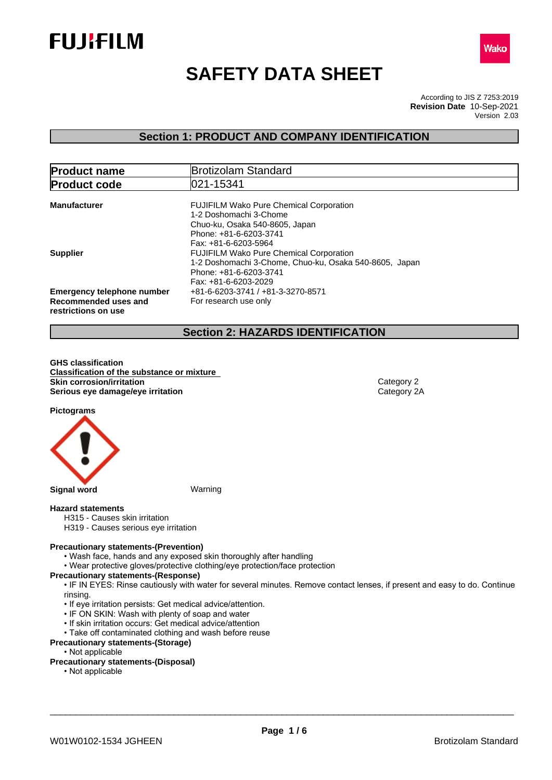



# **SAFETY DATA SHEET**

According to JIS Z 7253:2019 Version 2.03 **Revision Date** 10-Sep-2021

## **Section 1: PRODUCT AND COMPANY IDENTIFICATION**

| <b>Product name</b>                                                              | <b>Brotizolam Standard</b>                                                                                                                                   |  |
|----------------------------------------------------------------------------------|--------------------------------------------------------------------------------------------------------------------------------------------------------------|--|
| <b>Product code</b>                                                              | 021-15341                                                                                                                                                    |  |
| <b>Manufacturer</b>                                                              | <b>FUJIFILM Wako Pure Chemical Corporation</b><br>1-2 Doshomachi 3-Chome<br>Chuo-ku, Osaka 540-8605, Japan<br>Phone: +81-6-6203-3741<br>Fax: +81-6-6203-5964 |  |
| <b>Supplier</b>                                                                  | <b>FUJIFILM Wako Pure Chemical Corporation</b><br>1-2 Doshomachi 3-Chome, Chuo-ku, Osaka 540-8605, Japan<br>Phone: +81-6-6203-3741<br>Fax: +81-6-6203-2029   |  |
| <b>Emergency telephone number</b><br>Recommended uses and<br>restrictions on use | +81-6-6203-3741 / +81-3-3270-8571<br>For research use only                                                                                                   |  |

## **Section 2: HAZARDS IDENTIFICATION**

**GHS classification Classification of the substance or mixture Skin corrosion/irritation** Category 2 **Serious eye damage/eye irritation** Category 2A

**Pictograms**



#### **Hazard statements**

- H315 Causes skin irritation
- H319 Causes serious eye irritation

#### **Precautionary statements-(Prevention)**

- Wash face, hands and any exposed skin thoroughly after handling
- Wear protective gloves/protective clothing/eye protection/face protection

#### **Precautionary statements-(Response)**

• IF IN EYES: Rinse cautiously with water for several minutes. Remove contact lenses, if present and easy to do. Continue rinsing.

- If eye irritation persists: Get medical advice/attention.
- IF ON SKIN: Wash with plenty of soap and water
- If skin irritation occurs: Get medical advice/attention
- Take off contaminated clothing and wash before reuse

## **Precautionary statements-(Storage)**

• Not applicable

### **Precautionary statements-(Disposal)**

• Not applicable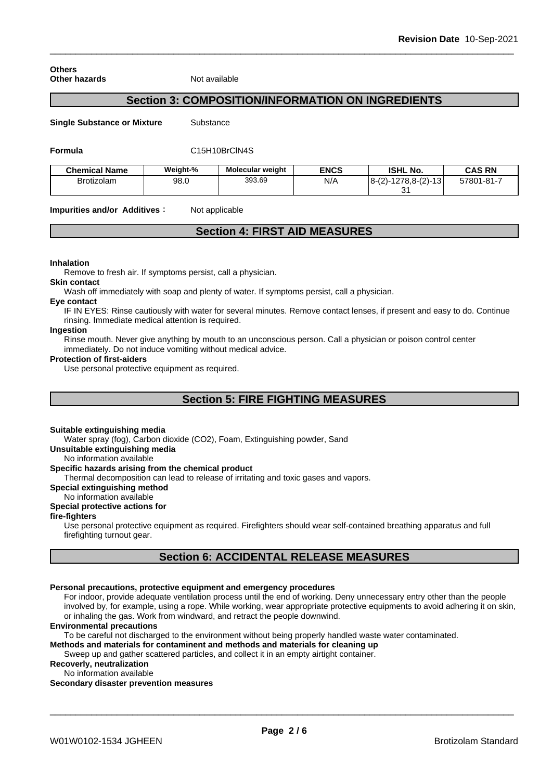**Others Other hazards** Not available

## **Section 3: COMPOSITION/INFORMATION ON INGREDIENTS**

**Single Substance or Mixture** Substance

#### **Formula** C15H10BrClN4S

| <b>Chemical Name</b> | Weight-% | <b>Molecular weight</b> | <b>ENCS</b> | <b>ISHL No.</b>         | CAS RN     |
|----------------------|----------|-------------------------|-------------|-------------------------|------------|
| <b>Brotizolam</b>    | 98.0     | 393.69                  | N/A         | $ 8-(2)-1278,8-(2)-13 $ | 57801-81-7 |
|                      |          |                         |             | ົ<br>ັ                  |            |

**Impurities and/or Additives :** Not applicable

## **Section 4: FIRST AID MEASURES**

#### **Inhalation**

Remove to fresh air. If symptoms persist, call a physician.

#### **Skin contact**

Wash off immediately with soap and plenty of water. If symptoms persist, calla physician.

#### **Eye contact**

IF IN EYES: Rinse cautiously with water forseveral minutes. Remove contact lenses, if present and easy to do. Continue rinsing. Immediate medical attention is required.

#### **Ingestion**

Rinse mouth. Never give anything by mouth to an unconscious person. Call a physician or poison control center immediately. Do not induce vomiting without medical advice.

#### **Protection of first-aiders**

Use personal protective equipment as required.

## **Section 5: FIRE FIGHTING MEASURES**

#### **Suitable extinguishing media**

Water spray (fog), Carbon dioxide (CO2), Foam, Extinguishing powder, Sand

**Unsuitable extinguishing media**

No information available

#### **Specific hazards arising from the chemical product**

Thermal decomposition can lead to release of irritating and toxic gases and vapors.

#### **Special extinguishing method**

No information available

#### **Special protective actions for**

**fire-fighters**

Use personal protective equipment as required.Firefighters should wear self-contained breathing apparatus and full firefighting turnout gear.

## **Section 6: ACCIDENTAL RELEASE MEASURES**

#### **Personal precautions, protective equipment and emergency procedures**

For indoor, provide adequate ventilation process until the end of working. Deny unnecessary entry other than the people involved by, for example, using a rope. While working, wear appropriate protective equipments to avoid adhering it on skin, or inhaling the gas. Work from windward, and retract the people downwind.

#### **Environmental precautions**

To be careful not discharged to the environment without being properly handled waste water contaminated.

**Methods and materials for contaminent and methods and materials for cleaning up**

Sweep up and gather scattered particles, and collect it in an empty airtight container.

**Recoverly, neutralization** No information available

#### **Secondary disaster prevention measures**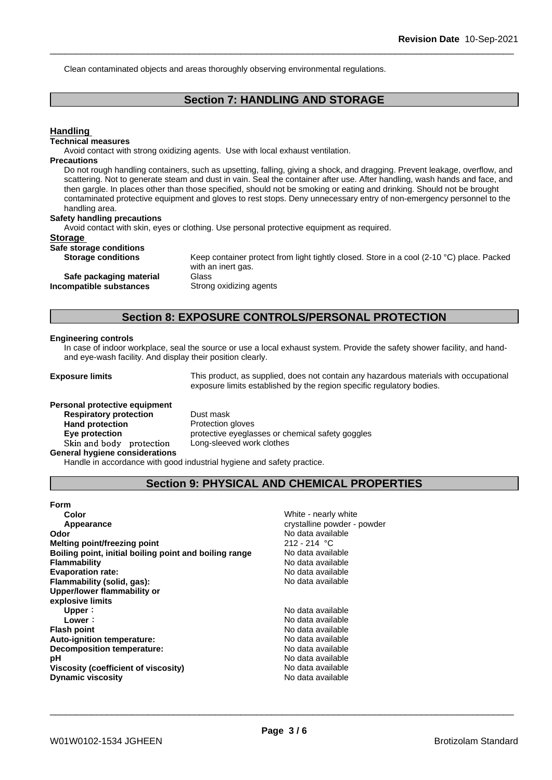Clean contaminated objects and areas thoroughly observing environmental regulations.

## **Section 7: HANDLING AND STORAGE**

#### **Handling**

#### **Technical measures**

Avoid contact with strong oxidizing agents. Use with local exhaust ventilation.

#### **Precautions**

Do not rough handling containers, such as upsetting, falling, giving a shock, and dragging. Prevent leakage, overflow, and scattering. Not to generate steam and dust in vain. Seal the container after use. After handling, wash hands and face, and then gargle. In places other than those specified, should not be smoking or eating and drinking. Should not be brought contaminated protective equipment and gloves to rest stops. Deny unnecessary entry of non-emergency personnel to the handling area.

#### **Safety handling precautions**

Avoid contact with skin, eyes or clothing. Use personal protective equipment as required.

#### **Storage**

**Safe storage conditions**

**Storage conditions** Keep container protect from light tightly closed. Store in a cool (2-10 °C) place. Packed with an inert gas. **Safe packaging material** Glass **Incompatible substances** Strong oxidizing agents

## **Section 8: EXPOSURE CONTROLS/PERSONAL PROTECTION**

#### **Engineering controls**

In case of indoor workplace, seal the source or use a local exhaust system. Provide the safety shower facility, and handand eye-wash facility. And display their position clearly.

**Exposure limits** This product, as supplied, does not contain any hazardous materials with occupational exposure limits established by the region specific regulatory bodies.

## **Personal protective equipment Respiratory protection** Dust mask **Hand protection** Protection gloves

**Eye protection protective eyeglasses or chemical safety goggles Skinandbody protection** Long-sleeved work clothes

**General hygiene considerations**

Handle in accordance with good industrial hygiene and safety practice.

## **Section 9: PHYSICAL AND CHEMICAL PROPERTIES**

| Form                                                   |
|--------------------------------------------------------|
| Color                                                  |
| Appearance                                             |
| Odor                                                   |
| <b>Melting point/freezing point</b>                    |
| Boiling point, initial boiling point and boiling range |
| Flammability                                           |
| <b>Evaporation rate:</b>                               |
| Flammability (solid, gas):                             |
| Upper/lower flammability or                            |
| explosive limits                                       |
| Upper:                                                 |
| Lower:                                                 |
| <b>Flash point</b>                                     |
| Auto-ignition temperature:                             |
| Decomposition temperature:                             |
| рH                                                     |
| Viscosity (coefficient of viscosity)                   |
| <b>Dynamic viscosity</b>                               |

**White - nearly white** crystalline powder - powder **Odor** No data available **Melting point/freezing point** 212 - 214 °C **Boiling point, initial boiling point and boiling range** No data available No data available **Evaporation rate:** No data available **Flammability (solid, gas):** No data available **Upper:** No data available **Lower:** No data available

**Flash point** No data available **Auto-ignition temperature:** No data available **Decomposition temperature:** No data available No data available **Viscosity (coefficient of viscosity)** No data available **Dynamic viscosity** No data available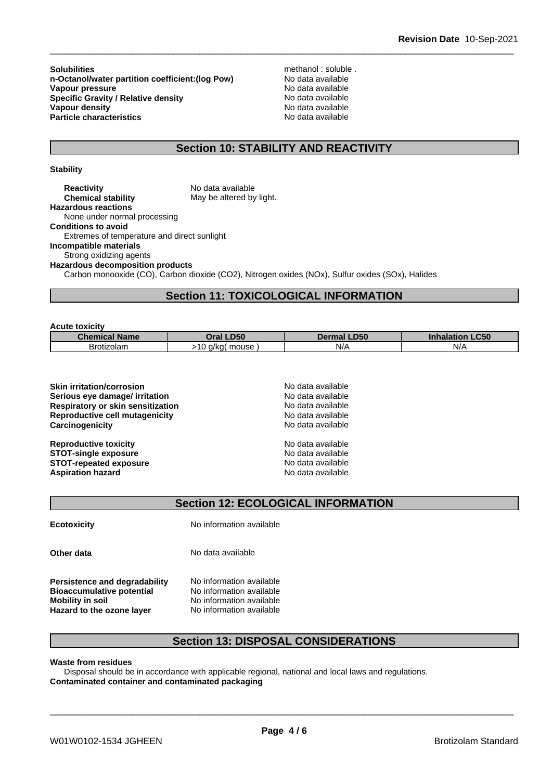**Solubilities** methanol : soluble .<br> **n-Octanol/water partition coefficient: (log Pow)** Mo data available **n-Octanol/water partition coefficient:(log Pow) No data available<br>
<b>Vapour pressure** No data available **Vapour pressure Specific Gravity / Relative density** No data available<br> **Vapour density** No data available **Vapour density**<br> **Particle characteristics**<br> **Particle characteristics**<br> **Particle characteristics Particle characteristics** 

## **Section 10: STABILITY AND REACTIVITY**

#### **Stability**

**Acute toxicity**

**Reactivity** No data available<br> **Chemical stability** May be altered by May be altered by light. **Hazardous reactions** None under normal processing **Conditions to avoid** Extremes of temperature and direct sunlight **Incompatible materials** Strong oxidizing agents **Hazardous decomposition products** Carbon monooxide (CO), Carbon dioxide (CO2), Nitrogen oxides (NOx), Sulfur oxides (SOx), Halides

## **Section 11: TOXICOLOGICAL INFORMATION**

| ACULE LOXICILY       |                     |                |                           |
|----------------------|---------------------|----------------|---------------------------|
| <b>Chemical Name</b> | <b>LD50</b><br>)ral | LD50<br>Dermal | <b>LC50</b><br>Inhalation |
| Brotizolam           | mouse<br>a/ka(      | N/A            | N/A                       |

| <b>Skin irritation/corrosion</b>         | No data available |
|------------------------------------------|-------------------|
| Serious eye damage/ irritation           | No data available |
| <b>Respiratory or skin sensitization</b> | No data available |
| <b>Reproductive cell mutagenicity</b>    | No data available |
| Carcinogenicity                          | No data available |
| <b>Reproductive toxicity</b>             | No data available |
| <b>STOT-single exposure</b>              | No data available |
| <b>STOT-repeated exposure</b>            | No data available |
| <b>Aspiration hazard</b>                 | No data available |
|                                          |                   |

**Section 12: ECOLOGICAL INFORMATION**

**Ecotoxicity** No information available **Other data** No data available **Persistence and degradability** No information available

**Bioaccumulative potential** No information available **Mobility in soil** No information available **Hazard to the ozone layer** No information available

## **Section 13: DISPOSAL CONSIDERATIONS**

#### **Waste from residues**

Disposal should be in accordance with applicable regional, national and local laws and regulations. **Contaminated container and contaminated packaging**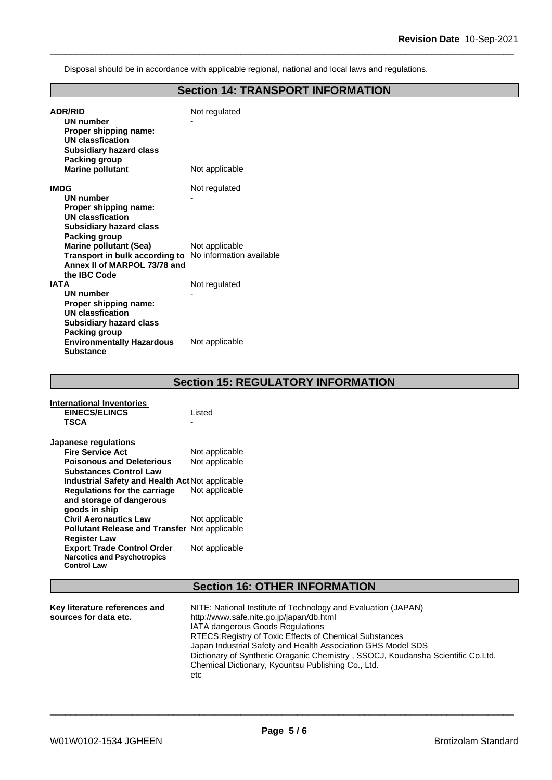Disposal should be in accordance with applicable regional, national and local laws and regulations.

## **Section 14: TRANSPORT INFORMATION**

| <b>ADR/RID</b><br>UN number<br>Proper shipping name:<br><b>UN classfication</b><br><b>Subsidiary hazard class</b> | Not regulated  |
|-------------------------------------------------------------------------------------------------------------------|----------------|
| Packing group<br><b>Marine pollutant</b>                                                                          | Not applicable |
| <b>IMDG</b>                                                                                                       | Not regulated  |
| UN number<br>Proper shipping name:<br>UN classfication<br><b>Subsidiary hazard class</b><br>Packing group         |                |
| <b>Marine pollutant (Sea)</b>                                                                                     | Not applicable |
| <b>Transport in bulk according to</b> No information available<br>Annex II of MARPOL 73/78 and<br>the IBC Code    |                |
| <b>IATA</b>                                                                                                       | Not regulated  |
| <b>UN number</b>                                                                                                  |                |
| Proper shipping name:                                                                                             |                |
| UN classfication                                                                                                  |                |
| <b>Subsidiary hazard class</b><br>Packing group                                                                   |                |
| <b>Environmentally Hazardous</b><br><b>Substance</b>                                                              | Not applicable |

## **Section 15: REGULATORY INFORMATION**

| International Inventories                              |                |
|--------------------------------------------------------|----------------|
| EINECS/ELINCS                                          | Listed         |
| TSCA                                                   |                |
| Japanese regulations                                   |                |
| <b>Fire Service Act</b>                                | Not applicable |
| <b>Poisonous and Deleterious</b>                       | Not applicable |
| <b>Substances Control Law</b>                          |                |
| <b>Industrial Safety and Health Act Not applicable</b> |                |
| Regulations for the carriage                           | Not applicable |
| and storage of dangerous                               |                |
| goods in ship                                          |                |
| <b>Civil Aeronautics Law</b>                           | Not applicable |
| <b>Pollutant Release and Transfer Not applicable</b>   |                |
| <b>Register Law</b>                                    |                |
| <b>Export Trade Control Order</b>                      | Not applicable |
| <b>Narcotics and Psychotropics</b>                     |                |
| <b>Control Law</b>                                     |                |

## **Section 16: OTHER INFORMATION**

| Key literature references and | NITE: National Institute of Technology and Evaluation (JAPAN)                   |
|-------------------------------|---------------------------------------------------------------------------------|
| sources for data etc.         | http://www.safe.nite.go.jp/japan/db.html                                        |
|                               | <b>IATA dangerous Goods Regulations</b>                                         |
|                               | RTECS: Registry of Toxic Effects of Chemical Substances                         |
|                               | Japan Industrial Safety and Health Association GHS Model SDS                    |
|                               | Dictionary of Synthetic Oraganic Chemistry, SSOCJ, Koudansha Scientific Co.Ltd. |
|                               | Chemical Dictionary, Kyouritsu Publishing Co., Ltd.                             |
|                               | etc                                                                             |